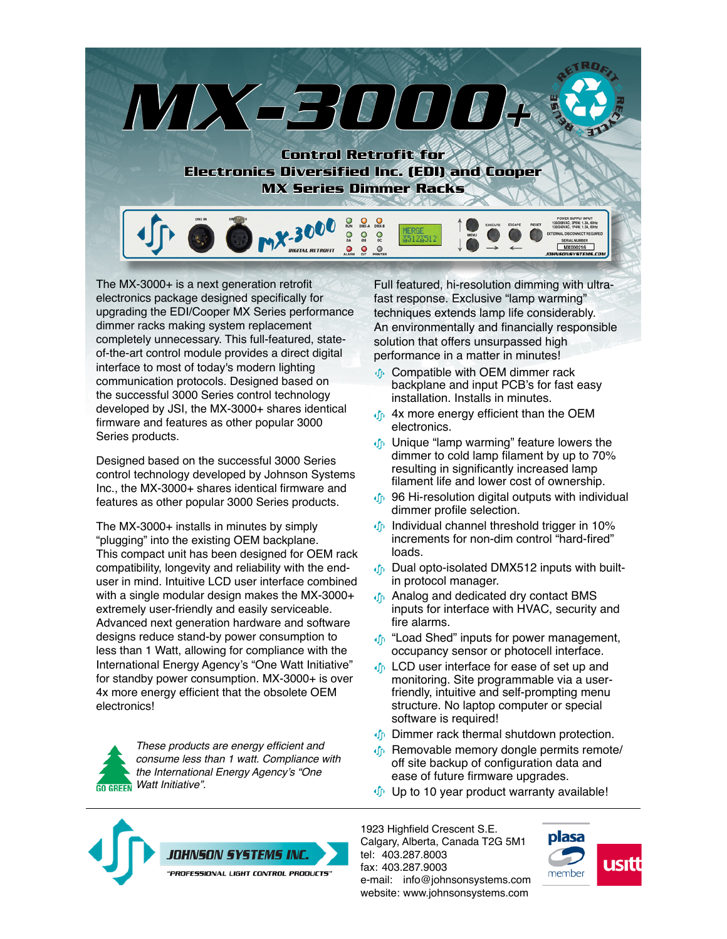

The MX-3000+ is a next generation retrofit electronics package designed specifically for upgrading the EDI/Cooper MX Series performance dimmer racks making system replacement completely unnecessary. This full-featured, stateof-the-art control module provides a direct digital interface to most of today's modern lighting communication protocols. Designed based on the successful 3000 Series control technology developed by JSI, the MX-3000+ shares identical firmware and features as other popular 3000 Series products.

Designed based on the successful 3000 Series control technology developed by Johnson Systems Inc., the MX-3000+ shares identical firmware and features as other popular 3000 Series products.

The MX-3000+ installs in minutes by simply "plugging" into the existing OEM backplane. This compact unit has been designed for OEM rack compatibility, longevity and reliability with the enduser in mind. Intuitive LCD user interface combined with a single modular design makes the MX-3000+ extremely user-friendly and easily serviceable. Advanced next generation hardware and software designs reduce stand-by power consumption to less than 1 Watt, allowing for compliance with the International Energy Agency's "One Watt Initiative" for standby power consumption. MX-3000+ is over 4x more energy efficient that the obsolete OEM electronics!

These products are energy efficient and consume less than 1 watt. Compliance with the International Energy Agency's "One Watt Initiative". **GO GREEN** 

Full featured, hi-resolution dimming with ultrafast response. Exclusive "lamp warming" techniques extends lamp life considerably. An environmentally and financially responsible solution that offers unsurpassed high performance in a matter in minutes!

- Compatible with OEM dimmer rack backplane and input PCB's for fast easy installation. Installs in minutes.
- **4x more energy efficient than the OEM** electronics.
- Unique "lamp warming" feature lowers the dimmer to cold lamp filament by up to 70% resulting in significantly increased lamp filament life and lower cost of ownership.
- **46** 96 Hi-resolution digital outputs with individual dimmer profile selection.
- **Individual channel threshold trigger in 10%** increments for non-dim control "hard-fired" loads.
- of Dual opto-isolated DMX512 inputs with builtin protocol manager.
- **Analog and dedicated dry contact BMS** inputs for interface with HVAC, security and fire alarms.
- *I* "Load Shed" inputs for power management, occupancy sensor or photocell interface.
- **I** LCD user interface for ease of set up and monitoring. Site programmable via a userfriendly, intuitive and self-prompting menu structure. No laptop computer or special software is required!
- **D** Dimmer rack thermal shutdown protection.
- Removable memory dongle permits remote/ off site backup of configuration data and ease of future firmware upgrades.
- $\psi$  Up to 10 year product warranty available!



1923 Highfield Crescent S.E. Calgary, Alberta, Canada T2G 5M1 tel: 403.287.8003 fax: 403.287.9003 e-mail: info@johnsonsystems.com website: www.johnsonsystems.com